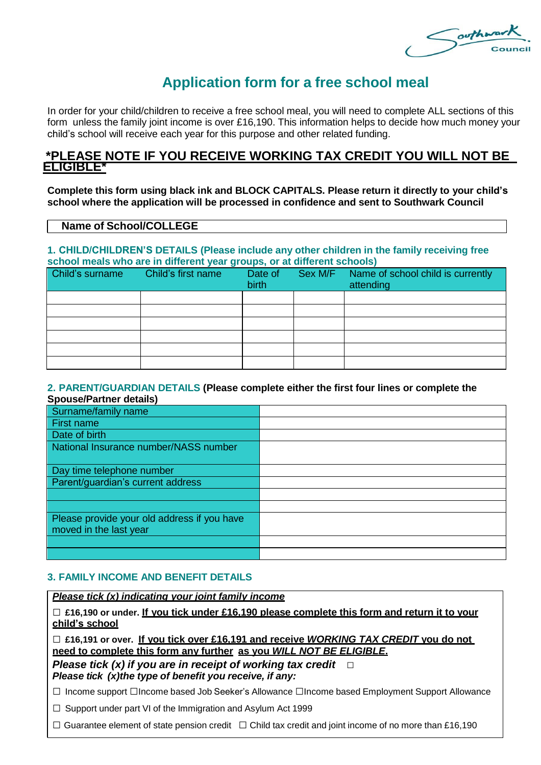Southway

# **Application form for a free school meal**

In order for your child/children to receive a free school meal, you will need to complete ALL sections of this form unless the family joint income is over £16,190. This information helps to decide how much money your child's school will receive each year for this purpose and other related funding.

## **\*PLEASE NOTE IF YOU RECEIVE WORKING TAX CREDIT YOU WILL NOT BE ELIGIBLE\***

**Complete this form using black ink and BLOCK CAPITALS. Please return it directly to your child's school where the application will be processed in confidence and sent to Southwark Council**

## **Name of School/COLLEGE**

#### **1. CHILD/CHILDREN'S DETAILS (Please include any other children in the family receiving free school meals who are in different year groups, or at different schools)**

| Child's surname | Child's first name | Date of<br>birth | Sex M/F | Name of school child is currently<br>attending |
|-----------------|--------------------|------------------|---------|------------------------------------------------|
|                 |                    |                  |         |                                                |
|                 |                    |                  |         |                                                |
|                 |                    |                  |         |                                                |
|                 |                    |                  |         |                                                |
|                 |                    |                  |         |                                                |
|                 |                    |                  |         |                                                |

#### **2. PARENT/GUARDIAN DETAILS (Please complete either the first four lines or complete the Spouse/Partner details)**

| Surname/family name                                                   |  |
|-----------------------------------------------------------------------|--|
| First name                                                            |  |
| Date of birth                                                         |  |
| National Insurance number/NASS number                                 |  |
| Day time telephone number                                             |  |
| Parent/guardian's current address                                     |  |
|                                                                       |  |
|                                                                       |  |
| Please provide your old address if you have<br>moved in the last year |  |
|                                                                       |  |
|                                                                       |  |

## **3. FAMILY INCOME AND BENEFIT DETAILS**

## *Please tick (x) indicating your joint family income*

□ **£16,190 or under. If you tick under £16,190 please complete this form and return it to your child's school**

□ **£16,191 or over. If you tick over £16,191 and receive** *WORKING TAX CREDIT* **you do not need to complete this form any further as you** *WILL NOT BE ELIGIBLE***.**

*Please tick (x) if you are in receipt of working tax credit* □ *Please tick (x)the type of benefit you receive, if any:*

□ Income support □Income based Job Seeker's Allowance □Income based Employment Support Allowance

 $\Box$  Support under part VI of the Immigration and Asylum Act 1999

□ Guarantee element of state pension credit □ Child tax credit and joint income of no more than £16,190